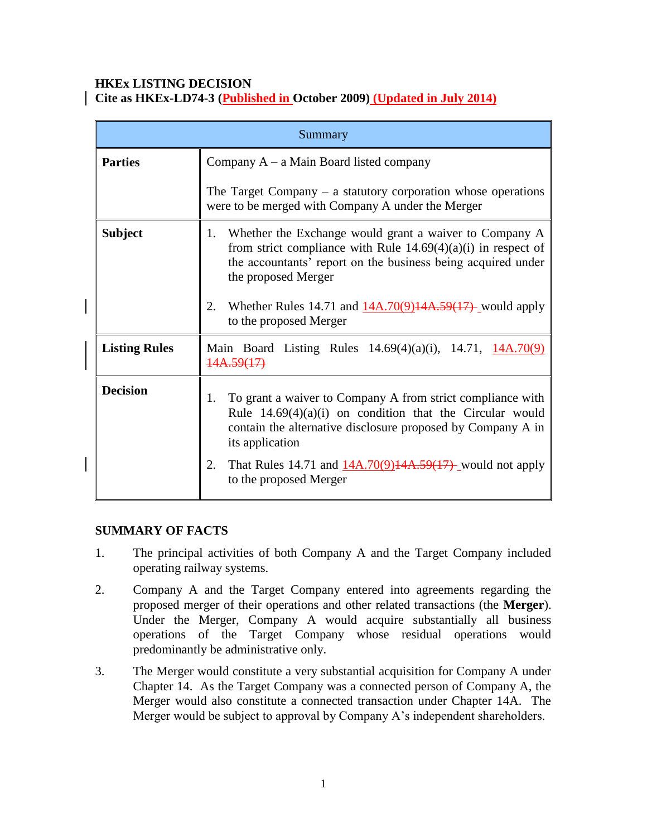### **HKEx LISTING DECISION Cite as HKEx-LD74-3 (Published in October 2009) (Updated in July 2014)**

| Summary              |                                                                                                                                                                                                                        |
|----------------------|------------------------------------------------------------------------------------------------------------------------------------------------------------------------------------------------------------------------|
| <b>Parties</b>       | Company $A - a$ Main Board listed company                                                                                                                                                                              |
|                      | The Target Company $-$ a statutory corporation whose operations<br>were to be merged with Company A under the Merger                                                                                                   |
| <b>Subject</b>       | Whether the Exchange would grant a waiver to Company A<br>1.<br>from strict compliance with Rule $14.69(4)(a)(i)$ in respect of<br>the accountants' report on the business being acquired under<br>the proposed Merger |
|                      | Whether Rules 14.71 and $14A.70(9)14A.59(17)$ -would apply<br>2.<br>to the proposed Merger                                                                                                                             |
| <b>Listing Rules</b> | Main Board Listing Rules $14.69(4)(a)(i)$ , $14.71$ , $14A.70(9)$<br>14A.59(17)                                                                                                                                        |
| <b>Decision</b>      | To grant a waiver to Company A from strict compliance with<br>1.<br>Rule $14.69(4)(a)(i)$ on condition that the Circular would<br>contain the alternative disclosure proposed by Company A in<br>its application       |
|                      | That Rules 14.71 and $14A.70(9)14A.59(17)$ would not apply<br>2.<br>to the proposed Merger                                                                                                                             |

## **SUMMARY OF FACTS**

- 1. The principal activities of both Company A and the Target Company included operating railway systems.
- 2. Company A and the Target Company entered into agreements regarding the proposed merger of their operations and other related transactions (the **Merger**). Under the Merger, Company A would acquire substantially all business operations of the Target Company whose residual operations would predominantly be administrative only.
- 3. The Merger would constitute a very substantial acquisition for Company A under Chapter 14. As the Target Company was a connected person of Company A, the Merger would also constitute a connected transaction under Chapter 14A. The Merger would be subject to approval by Company A's independent shareholders.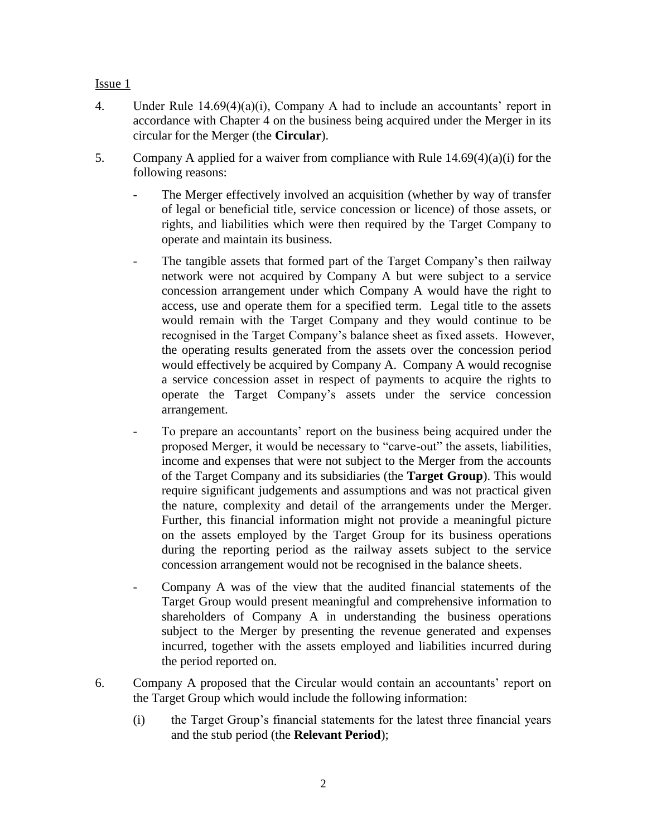- 4. Under Rule 14.69(4)(a)(i), Company A had to include an accountants' report in accordance with Chapter 4 on the business being acquired under the Merger in its circular for the Merger (the **Circular**).
- 5. Company A applied for a waiver from compliance with Rule 14.69(4)(a)(i) for the following reasons:
	- The Merger effectively involved an acquisition (whether by way of transfer of legal or beneficial title, service concession or licence) of those assets, or rights, and liabilities which were then required by the Target Company to operate and maintain its business.
	- The tangible assets that formed part of the Target Company's then railway network were not acquired by Company A but were subject to a service concession arrangement under which Company A would have the right to access, use and operate them for a specified term. Legal title to the assets would remain with the Target Company and they would continue to be recognised in the Target Company's balance sheet as fixed assets. However, the operating results generated from the assets over the concession period would effectively be acquired by Company A. Company A would recognise a service concession asset in respect of payments to acquire the rights to operate the Target Company's assets under the service concession arrangement.
	- To prepare an accountants' report on the business being acquired under the proposed Merger, it would be necessary to "carve-out" the assets, liabilities, income and expenses that were not subject to the Merger from the accounts of the Target Company and its subsidiaries (the **Target Group**). This would require significant judgements and assumptions and was not practical given the nature, complexity and detail of the arrangements under the Merger. Further, this financial information might not provide a meaningful picture on the assets employed by the Target Group for its business operations during the reporting period as the railway assets subject to the service concession arrangement would not be recognised in the balance sheets.
	- Company A was of the view that the audited financial statements of the Target Group would present meaningful and comprehensive information to shareholders of Company A in understanding the business operations subject to the Merger by presenting the revenue generated and expenses incurred, together with the assets employed and liabilities incurred during the period reported on.
- 6. Company A proposed that the Circular would contain an accountants' report on the Target Group which would include the following information:
	- (i) the Target Group's financial statements for the latest three financial years and the stub period (the **Relevant Period**);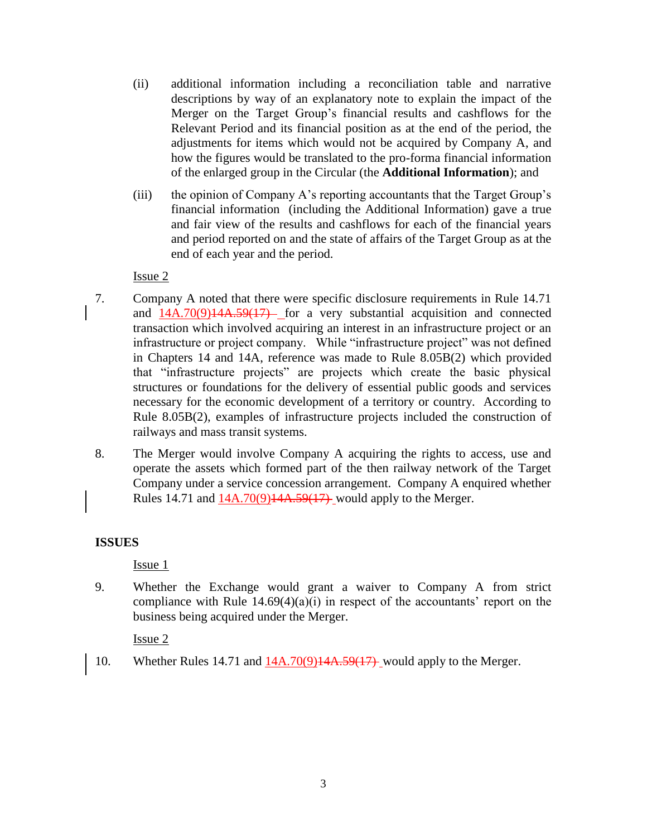- (ii) additional information including a reconciliation table and narrative descriptions by way of an explanatory note to explain the impact of the Merger on the Target Group's financial results and cashflows for the Relevant Period and its financial position as at the end of the period, the adjustments for items which would not be acquired by Company A, and how the figures would be translated to the pro-forma financial information of the enlarged group in the Circular (the **Additional Information**); and
- (iii) the opinion of Company A's reporting accountants that the Target Group's financial information (including the Additional Information) gave a true and fair view of the results and cashflows for each of the financial years and period reported on and the state of affairs of the Target Group as at the end of each year and the period.

- 7. Company A noted that there were specific disclosure requirements in Rule 14.71 and  $14A.70(9)14A.59(17)$  for a very substantial acquisition and connected transaction which involved acquiring an interest in an infrastructure project or an infrastructure or project company. While "infrastructure project" was not defined in Chapters 14 and 14A, reference was made to Rule 8.05B(2) which provided that "infrastructure projects" are projects which create the basic physical structures or foundations for the delivery of essential public goods and services necessary for the economic development of a territory or country. According to Rule 8.05B(2), examples of infrastructure projects included the construction of railways and mass transit systems.
- 8. The Merger would involve Company A acquiring the rights to access, use and operate the assets which formed part of the then railway network of the Target Company under a service concession arrangement. Company A enquired whether Rules 14.71 and  $14A.70(9)14A.59(17)$  would apply to the Merger.

#### **ISSUES**

Issue 1

9. Whether the Exchange would grant a waiver to Company A from strict compliance with Rule  $14.69(4)(a)(i)$  in respect of the accountants' report on the business being acquired under the Merger.

Issue 2

10. Whether Rules 14.71 and 14A.70(9)14A.59(17) would apply to the Merger.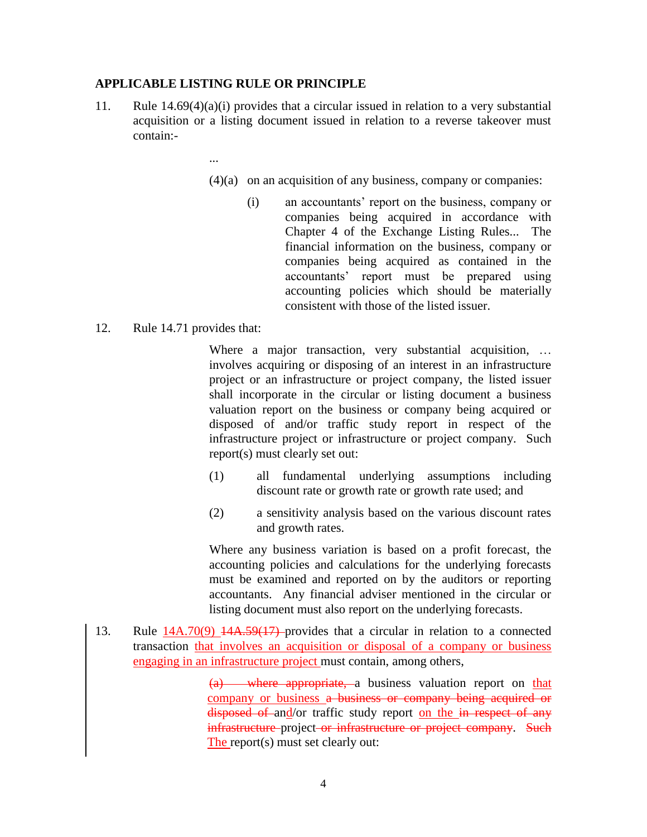#### **APPLICABLE LISTING RULE OR PRINCIPLE**

- 11. Rule  $14.69(4)(a)(i)$  provides that a circular issued in relation to a very substantial acquisition or a listing document issued in relation to a reverse takeover must contain:-
	- ...
		- (4)(a) on an acquisition of any business, company or companies:
			- (i) an accountants' report on the business, company or companies being acquired in accordance with Chapter 4 of the Exchange Listing Rules... The financial information on the business, company or companies being acquired as contained in the accountants' report must be prepared using accounting policies which should be materially consistent with those of the listed issuer.
- 12. Rule 14.71 provides that:

Where a major transaction, very substantial acquisition, ... involves acquiring or disposing of an interest in an infrastructure project or an infrastructure or project company, the listed issuer shall incorporate in the circular or listing document a business valuation report on the business or company being acquired or disposed of and/or traffic study report in respect of the infrastructure project or infrastructure or project company. Such report(s) must clearly set out:

- (1) all fundamental underlying assumptions including discount rate or growth rate or growth rate used; and
- (2) a sensitivity analysis based on the various discount rates and growth rates.

Where any business variation is based on a profit forecast, the accounting policies and calculations for the underlying forecasts must be examined and reported on by the auditors or reporting accountants. Any financial adviser mentioned in the circular or listing document must also report on the underlying forecasts.

13. Rule  $14A.70(9)$   $14A.59(17)$  provides that a circular in relation to a connected transaction that involves an acquisition or disposal of a company or business engaging in an infrastructure project must contain, among others,

> (a) where appropriate, a business valuation report on that company or business a business or company being acquired or disposed of and/or traffic study report on the in respect of any infrastructure project or infrastructure or project company. Such The report(s) must set clearly out: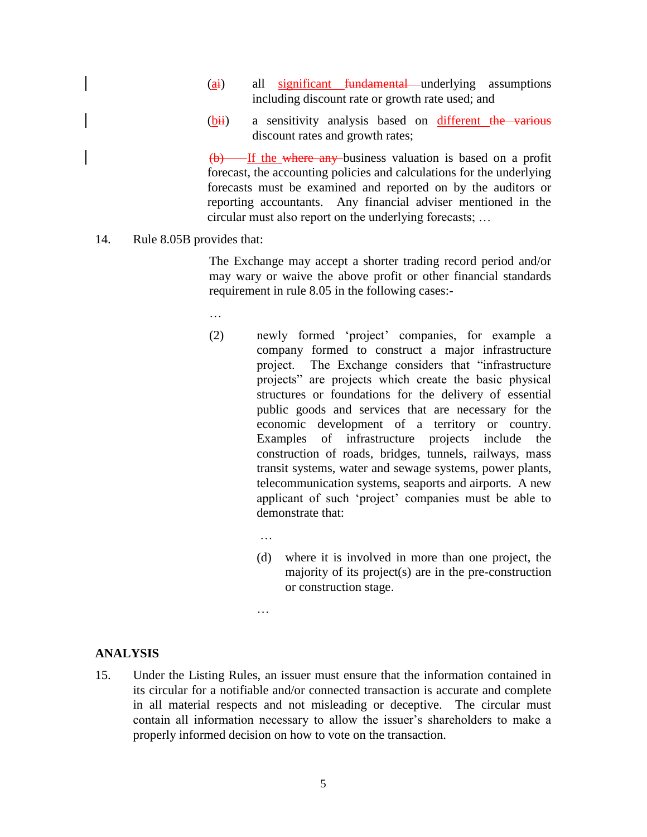- $(a<sub>i</sub>)$  all significant fundamental underlying assumptions including discount rate or growth rate used; and
- $(bii)$  a sensitivity analysis based on different the various discount rates and growth rates;

 $(b)$  If the where any business valuation is based on a profit forecast, the accounting policies and calculations for the underlying forecasts must be examined and reported on by the auditors or reporting accountants. Any financial adviser mentioned in the circular must also report on the underlying forecasts; …

14. Rule 8.05B provides that:

The Exchange may accept a shorter trading record period and/or may wary or waive the above profit or other financial standards requirement in rule 8.05 in the following cases:-

- …
- (2) newly formed 'project' companies, for example a company formed to construct a major infrastructure project. The Exchange considers that "infrastructure projects" are projects which create the basic physical structures or foundations for the delivery of essential public goods and services that are necessary for the economic development of a territory or country. Examples of infrastructure projects include the construction of roads, bridges, tunnels, railways, mass transit systems, water and sewage systems, power plants, telecommunication systems, seaports and airports. A new applicant of such 'project' companies must be able to demonstrate that:
	- (d) where it is involved in more than one project, the majority of its project(s) are in the pre-construction or construction stage.
	- …

…

## **ANALYSIS**

15. Under the Listing Rules, an issuer must ensure that the information contained in its circular for a notifiable and/or connected transaction is accurate and complete in all material respects and not misleading or deceptive. The circular must contain all information necessary to allow the issuer's shareholders to make a properly informed decision on how to vote on the transaction.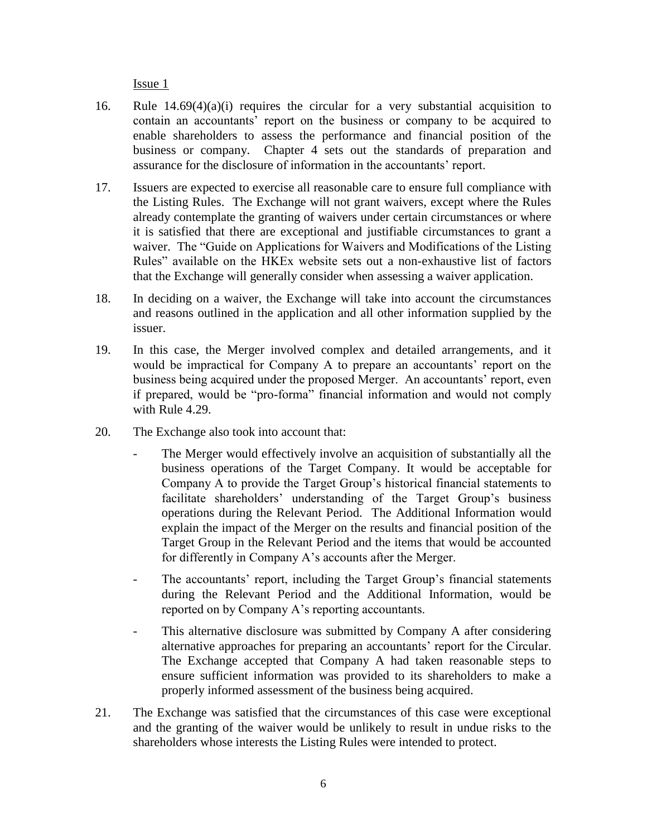- 16. Rule 14.69(4)(a)(i) requires the circular for a very substantial acquisition to contain an accountants' report on the business or company to be acquired to enable shareholders to assess the performance and financial position of the business or company. Chapter 4 sets out the standards of preparation and assurance for the disclosure of information in the accountants' report.
- 17. Issuers are expected to exercise all reasonable care to ensure full compliance with the Listing Rules. The Exchange will not grant waivers, except where the Rules already contemplate the granting of waivers under certain circumstances or where it is satisfied that there are exceptional and justifiable circumstances to grant a waiver. The "Guide on Applications for Waivers and Modifications of the Listing Rules" available on the HKEx website sets out a non-exhaustive list of factors that the Exchange will generally consider when assessing a waiver application.
- 18. In deciding on a waiver, the Exchange will take into account the circumstances and reasons outlined in the application and all other information supplied by the issuer.
- 19. In this case, the Merger involved complex and detailed arrangements, and it would be impractical for Company A to prepare an accountants' report on the business being acquired under the proposed Merger. An accountants' report, even if prepared, would be "pro-forma" financial information and would not comply with Rule 4.29.
- 20. The Exchange also took into account that:
	- The Merger would effectively involve an acquisition of substantially all the business operations of the Target Company. It would be acceptable for Company A to provide the Target Group's historical financial statements to facilitate shareholders' understanding of the Target Group's business operations during the Relevant Period. The Additional Information would explain the impact of the Merger on the results and financial position of the Target Group in the Relevant Period and the items that would be accounted for differently in Company A's accounts after the Merger.
	- The accountants' report, including the Target Group's financial statements during the Relevant Period and the Additional Information, would be reported on by Company A's reporting accountants.
	- This alternative disclosure was submitted by Company A after considering alternative approaches for preparing an accountants' report for the Circular. The Exchange accepted that Company A had taken reasonable steps to ensure sufficient information was provided to its shareholders to make a properly informed assessment of the business being acquired.
- 21. The Exchange was satisfied that the circumstances of this case were exceptional and the granting of the waiver would be unlikely to result in undue risks to the shareholders whose interests the Listing Rules were intended to protect.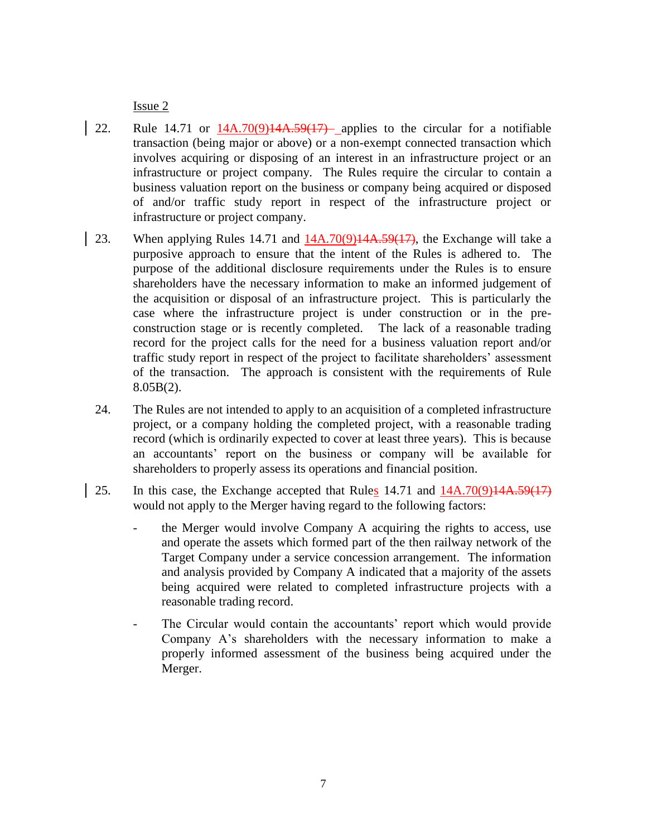- 22. Rule 14.71 or  $14A.70(9)14A.59(17)$  applies to the circular for a notifiable transaction (being major or above) or a non-exempt connected transaction which involves acquiring or disposing of an interest in an infrastructure project or an infrastructure or project company. The Rules require the circular to contain a business valuation report on the business or company being acquired or disposed of and/or traffic study report in respect of the infrastructure project or infrastructure or project company.
- 23. When applying Rules 14.71 and 14A.70(9)14A.59(17), the Exchange will take a purposive approach to ensure that the intent of the Rules is adhered to. The purpose of the additional disclosure requirements under the Rules is to ensure shareholders have the necessary information to make an informed judgement of the acquisition or disposal of an infrastructure project. This is particularly the case where the infrastructure project is under construction or in the preconstruction stage or is recently completed. The lack of a reasonable trading record for the project calls for the need for a business valuation report and/or traffic study report in respect of the project to facilitate shareholders' assessment of the transaction. The approach is consistent with the requirements of Rule 8.05B(2).
- 24. The Rules are not intended to apply to an acquisition of a completed infrastructure project, or a company holding the completed project, with a reasonable trading record (which is ordinarily expected to cover at least three years). This is because an accountants' report on the business or company will be available for shareholders to properly assess its operations and financial position.
- 25. In this case, the Exchange accepted that Rules  $14.71$  and  $14A.70(9)14A.59(17)$ would not apply to the Merger having regard to the following factors:
	- the Merger would involve Company A acquiring the rights to access, use and operate the assets which formed part of the then railway network of the Target Company under a service concession arrangement. The information and analysis provided by Company A indicated that a majority of the assets being acquired were related to completed infrastructure projects with a reasonable trading record.
	- The Circular would contain the accountants' report which would provide Company A's shareholders with the necessary information to make a properly informed assessment of the business being acquired under the Merger.